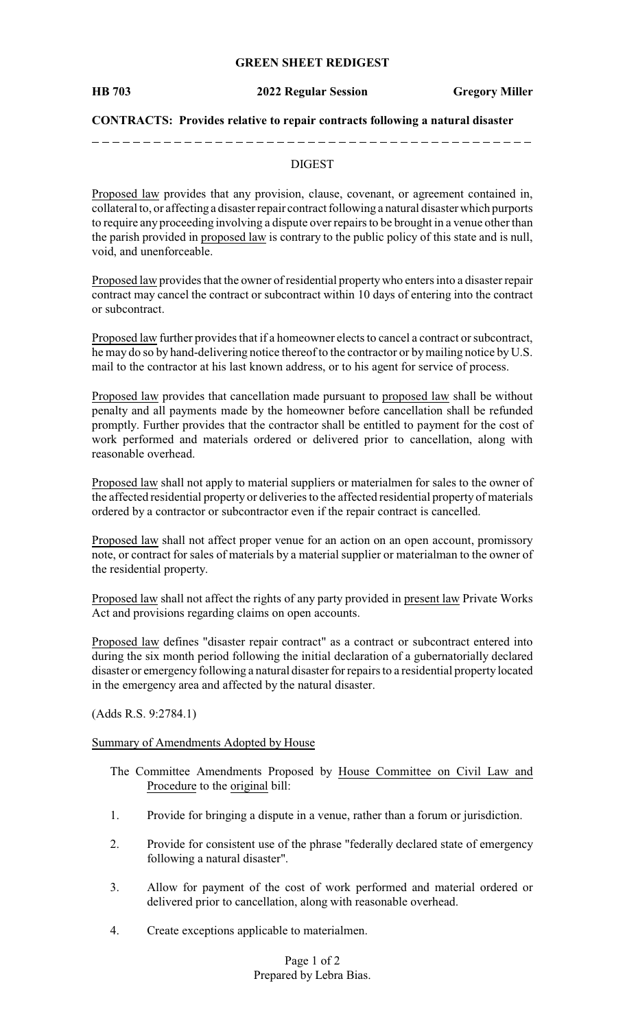### **GREEN SHEET REDIGEST**

**HB 703 2022 Regular Session Gregory Miller**

### **CONTRACTS: Provides relative to repair contracts following a natural disaster**

### DIGEST

Proposed law provides that any provision, clause, covenant, or agreement contained in, collateral to, or affecting a disaster repair contract following a natural disaster which purports to require any proceeding involving a dispute over repairs to be brought in a venue other than the parish provided in proposed law is contrary to the public policy of this state and is null, void, and unenforceable.

Proposed law provides that the owner of residential property who enters into a disaster repair contract may cancel the contract or subcontract within 10 days of entering into the contract or subcontract.

Proposed law further provides that if a homeowner elects to cancel a contract or subcontract, he may do so by hand-delivering notice thereof to the contractor or bymailing notice by U.S. mail to the contractor at his last known address, or to his agent for service of process.

Proposed law provides that cancellation made pursuant to proposed law shall be without penalty and all payments made by the homeowner before cancellation shall be refunded promptly. Further provides that the contractor shall be entitled to payment for the cost of work performed and materials ordered or delivered prior to cancellation, along with reasonable overhead.

Proposed law shall not apply to material suppliers or materialmen for sales to the owner of the affected residential property or deliveries to the affected residential property of materials ordered by a contractor or subcontractor even if the repair contract is cancelled.

Proposed law shall not affect proper venue for an action on an open account, promissory note, or contract for sales of materials by a material supplier or materialman to the owner of the residential property.

Proposed law shall not affect the rights of any party provided in present law Private Works Act and provisions regarding claims on open accounts.

Proposed law defines "disaster repair contract" as a contract or subcontract entered into during the six month period following the initial declaration of a gubernatorially declared disaster or emergency following a natural disaster for repairs to a residential property located in the emergency area and affected by the natural disaster.

(Adds R.S. 9:2784.1)

#### Summary of Amendments Adopted by House

- The Committee Amendments Proposed by House Committee on Civil Law and Procedure to the original bill:
- 1. Provide for bringing a dispute in a venue, rather than a forum or jurisdiction.
- 2. Provide for consistent use of the phrase "federally declared state of emergency following a natural disaster".
- 3. Allow for payment of the cost of work performed and material ordered or delivered prior to cancellation, along with reasonable overhead.
- 4. Create exceptions applicable to materialmen.

Page 1 of 2 Prepared by Lebra Bias.